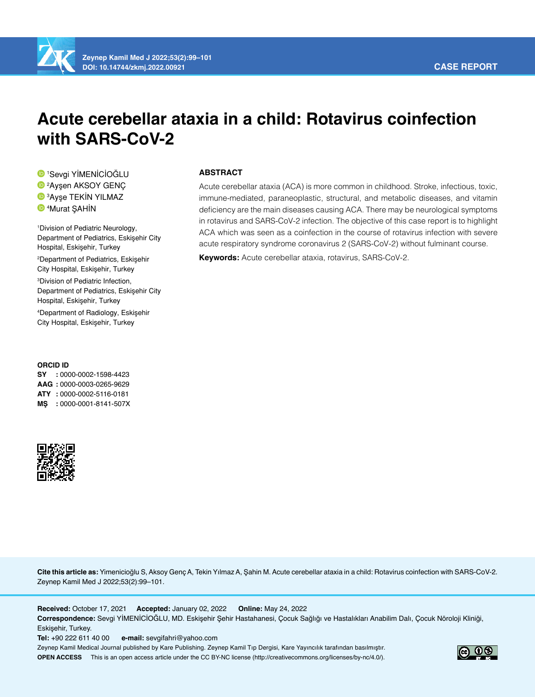

# **Acute cerebellar ataxia in a child: Rotavirus coinfection with SARS-CoV-2**

 Sevgi YİMENİCİOĞLU Ayşen AKSOY GENÇ Ayşe TEKİN YILMAZ Murat ŞAHİN

1 Division of Pediatric Neurology, Department of Pediatrics, Eskişehir City Hospital, Eskişehir, Turkey 2 Department of Pediatrics, Eskişehir City Hospital, Eskişehir, Turkey 3 Division of Pediatric Infection, Department of Pediatrics, Eskişehir City Hospital, Eskişehir, Turkey 4 Department of Radiology, Eskişehir City Hospital, Eskişehir, Turkey

#### **ORCID ID**

**SY :** 0000-0002-1598-4423 **AAG :** 0000-0003-0265-9629 **ATY :** 0000-0002-5116-0181 **MŞ :** 0000-0001-8141-507X



# **ABSTRACT**

Acute cerebellar ataxia (ACA) is more common in childhood. Stroke, infectious, toxic, immune-mediated, paraneoplastic, structural, and metabolic diseases, and vitamin deficiency are the main diseases causing ACA. There may be neurological symptoms in rotavirus and SARS-CoV-2 infection. The objective of this case report is to highlight ACA which was seen as a coinfection in the course of rotavirus infection with severe acute respiratory syndrome coronavirus 2 (SARS-CoV-2) without fulminant course.

**Keywords:** Acute cerebellar ataxia, rotavirus, SARS-CoV-2.

**Cite this article as:** Yimenicioğlu S, Aksoy Genç A, Tekin Yılmaz A, Şahin M. Acute cerebellar ataxia in a child: Rotavirus coinfection with SARS-CoV-2. Zeynep Kamil Med J 2022;53(2):99–101.

**Received:** October 17, 2021 **Accepted:** January 02, 2022 **Online:** May 24, 2022 **Correspondence:** Sevgi YİMENİCİOĞLU, MD. Eskişehir Şehir Hastahanesi, Çocuk Sağlığı ve Hastalıkları Anabilim Dalı, Çocuk Nöroloji Kliniği, Eskişehir, Turkey.

**Tel:** +90 222 611 40 00 **e-mail:** sevgifahri@yahoo.com

Zeynep Kamil Medical Journal published by Kare Publishing. Zeynep Kamil Tıp Dergisi, Kare Yayıncılık tarafından basılmıştır. **OPEN ACCESS** This is an open access article under the CC BY-NC license (http://creativecommons.org/licenses/by-nc/4.0/).

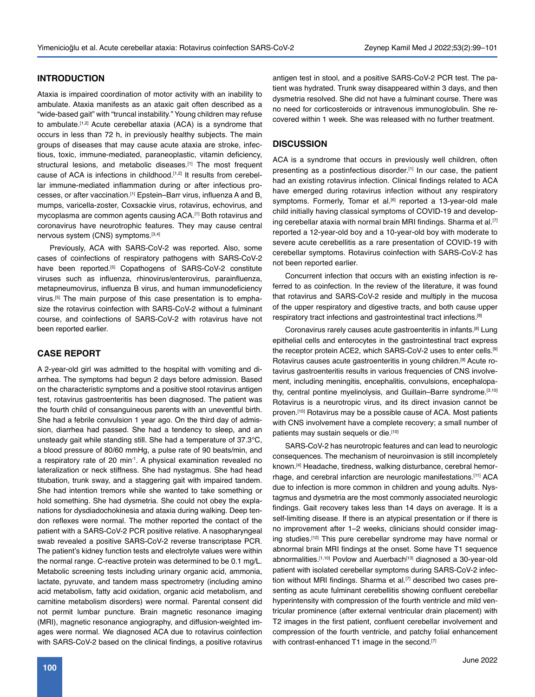### **INTRODUCTION**

Ataxia is impaired coordination of motor activity with an inability to ambulate. Ataxia manifests as an ataxic gait often described as a "wide-based gait" with "truncal instability." Young children may refuse to ambulate.<sup>[1,2]</sup> Acute cerebellar ataxia (ACA) is a syndrome that occurs in less than 72 h, in previously healthy subjects. The main groups of diseases that may cause acute ataxia are stroke, infectious, toxic, immune-mediated, paraneoplastic, vitamin deficiency, structural lesions, and metabolic diseases.<sup>[1]</sup> The most frequent cause of ACA is infections in childhood.<sup>[1,2]</sup> It results from cerebellar immune-mediated inflammation during or after infectious processes, or after vaccination.<sup>[1]</sup> Epstein–Barr virus, influenza A and B, mumps, varicella-zoster, Coxsackie virus, rotavirus, echovirus, and mycoplasma are common agents causing ACA.[1] Both rotavirus and coronavirus have neurotrophic features. They may cause central nervous system (CNS) symptoms.<sup>[3,4]</sup>

Previously, ACA with SARS-CoV-2 was reported. Also, some cases of coinfections of respiratory pathogens with SARS-CoV-2 have been reported.<sup>[5]</sup> Copathogens of SARS-CoV-2 constitute viruses such as influenza, rhinovirus/enterovirus, parainfluenza, metapneumovirus, influenza B virus, and human immunodeficiency virus.[5] The main purpose of this case presentation is to emphasize the rotavirus coinfection with SARS-CoV-2 without a fulminant course, and coinfections of SARS-CoV-2 with rotavirus have not been reported earlier.

### **CASE REPORT**

A 2-year-old girl was admitted to the hospital with vomiting and diarrhea. The symptoms had begun 2 days before admission. Based on the characteristic symptoms and a positive stool rotavirus antigen test, rotavirus gastroenteritis has been diagnosed. The patient was the fourth child of consanguineous parents with an uneventful birth. She had a febrile convulsion 1 year ago. On the third day of admission, diarrhea had passed. She had a tendency to sleep, and an unsteady gait while standing still. She had a temperature of 37.3°C, a blood pressure of 80/60 mmHg, a pulse rate of 90 beats/min, and a respiratory rate of 20 min<sup>-1</sup>. A physical examination revealed no lateralization or neck stiffness. She had nystagmus. She had head titubation, trunk sway, and a staggering gait with impaired tandem. She had intention tremors while she wanted to take something or hold something. She had dysmetria. She could not obey the explanations for dysdiadochokinesia and ataxia during walking. Deep tendon reflexes were normal. The mother reported the contact of the patient with a SARS-CoV-2 PCR positive relative. A nasopharyngeal swab revealed a positive SARS-CoV-2 reverse transcriptase PCR. The patient's kidney function tests and electrolyte values were within the normal range. C-reactive protein was determined to be 0.1 mg/L. Metabolic screening tests including urinary organic acid, ammonia, lactate, pyruvate, and tandem mass spectrometry (including amino acid metabolism, fatty acid oxidation, organic acid metabolism, and carnitine metabolism disorders) were normal. Parental consent did not permit lumbar puncture. Brain magnetic resonance imaging (MRI), magnetic resonance angiography, and diffusion-weighted images were normal. We diagnosed ACA due to rotavirus coinfection with SARS-CoV-2 based on the clinical findings, a positive rotavirus

antigen test in stool, and a positive SARS-CoV-2 PCR test. The patient was hydrated. Trunk sway disappeared within 3 days, and then dysmetria resolved. She did not have a fulminant course. There was no need for corticosteroids or intravenous immunoglobulin. She recovered within 1 week. She was released with no further treatment.

## **DISCUSSION**

ACA is a syndrome that occurs in previously well children, often presenting as a postinfectious disorder.<sup>[1]</sup> In our case, the patient had an existing rotavirus infection. Clinical findings related to ACA have emerged during rotavirus infection without any respiratory symptoms. Formerly, Tomar et al.<sup>[6]</sup> reported a 13-year-old male child initially having classical symptoms of COVID-19 and developing cerebellar ataxia with normal brain MRI findings. Sharma et al.<sup>[7]</sup> reported a 12-year-old boy and a 10-year-old boy with moderate to severe acute cerebellitis as a rare presentation of COVID-19 with cerebellar symptoms. Rotavirus coinfection with SARS-CoV-2 has not been reported earlier.

Concurrent infection that occurs with an existing infection is referred to as coinfection. In the review of the literature, it was found that rotavirus and SARS-CoV-2 reside and multiply in the mucosa of the upper respiratory and digestive tracts, and both cause upper respiratory tract infections and gastrointestinal tract infections.[8]

Coronavirus rarely causes acute gastroenteritis in infants.[8] Lung epithelial cells and enterocytes in the gastrointestinal tract express the receptor protein ACE2, which SARS-CoV-2 uses to enter cells.<sup>[9]</sup> Rotavirus causes acute gastroenteritis in young children.[9] Acute rotavirus gastroenteritis results in various frequencies of CNS involvement, including meningitis, encephalitis, convulsions, encephalopathy, central pontine myelinolysis, and Guillain–Barre syndrome.[3,10] Rotavirus is a neurotropic virus, and its direct invasion cannot be proven.[10] Rotavirus may be a possible cause of ACA. Most patients with CNS involvement have a complete recovery; a small number of patients may sustain sequels or die.<sup>[10]</sup>

SARS-CoV-2 has neurotropic features and can lead to neurologic consequences. The mechanism of neuroinvasion is still incompletely known.[4] Headache, tiredness, walking disturbance, cerebral hemorrhage, and cerebral infarction are neurologic manifestations.[11] ACA due to infection is more common in children and young adults. Nystagmus and dysmetria are the most commonly associated neurologic findings. Gait recovery takes less than 14 days on average. It is a self-limiting disease. If there is an atypical presentation or if there is no improvement after 1–2 weeks, clinicians should consider imaging studies.<sup>[12]</sup> This pure cerebellar syndrome may have normal or abnormal brain MRI findings at the onset. Some have T1 sequence abnormalities.<sup>[1,10]</sup> Povlow and Auerbach<sup>[13]</sup> diagnosed a 30-year-old patient with isolated cerebellar symptoms during SARS-CoV-2 infection without MRI findings. Sharma et al.<sup>[7]</sup> described two cases presenting as acute fulminant cerebellitis showing confluent cerebellar hyperintensity with compression of the fourth ventricle and mild ventricular prominence (after external ventricular drain placement) with T2 images in the first patient, confluent cerebellar involvement and compression of the fourth ventricle, and patchy folial enhancement with contrast-enhanced T1 image in the second.[7]